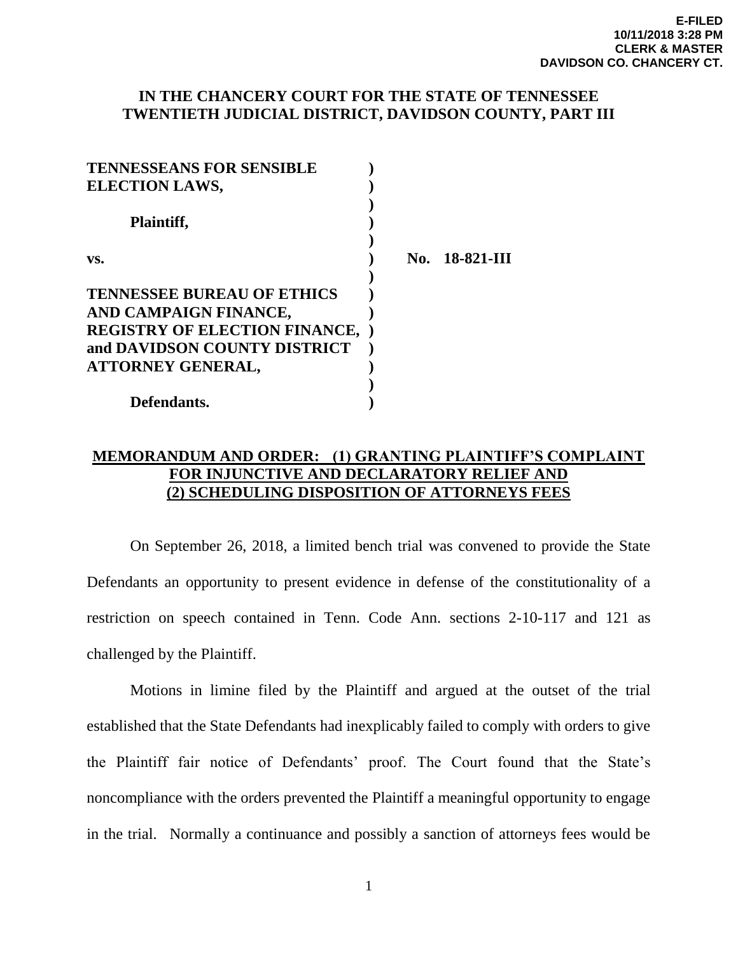## **IN THE CHANCERY COURT FOR THE STATE OF TENNESSEE TWENTIETH JUDICIAL DISTRICT, DAVIDSON COUNTY, PART III**

| <b>TENNESSEANS FOR SENSIBLE</b>        |                |
|----------------------------------------|----------------|
| <b>ELECTION LAWS,</b>                  |                |
| Plaintiff,                             |                |
| VS.                                    | No. 18-821-III |
| <b>TENNESSEE BUREAU OF ETHICS</b>      |                |
| AND CAMPAIGN FINANCE,                  |                |
| <b>REGISTRY OF ELECTION FINANCE, )</b> |                |
| and DAVIDSON COUNTY DISTRICT           |                |
| <b>ATTORNEY GENERAL,</b>               |                |
|                                        |                |
| Defendants.                            |                |

## **MEMORANDUM AND ORDER: (1) GRANTING PLAINTIFF'S COMPLAINT FOR INJUNCTIVE AND DECLARATORY RELIEF AND (2) SCHEDULING DISPOSITION OF ATTORNEYS FEES**

 On September 26, 2018, a limited bench trial was convened to provide the State Defendants an opportunity to present evidence in defense of the constitutionality of a restriction on speech contained in Tenn. Code Ann. sections 2-10-117 and 121 as challenged by the Plaintiff.

Motions in limine filed by the Plaintiff and argued at the outset of the trial established that the State Defendants had inexplicably failed to comply with orders to give the Plaintiff fair notice of Defendants' proof. The Court found that the State's noncompliance with the orders prevented the Plaintiff a meaningful opportunity to engage in the trial. Normally a continuance and possibly a sanction of attorneys fees would be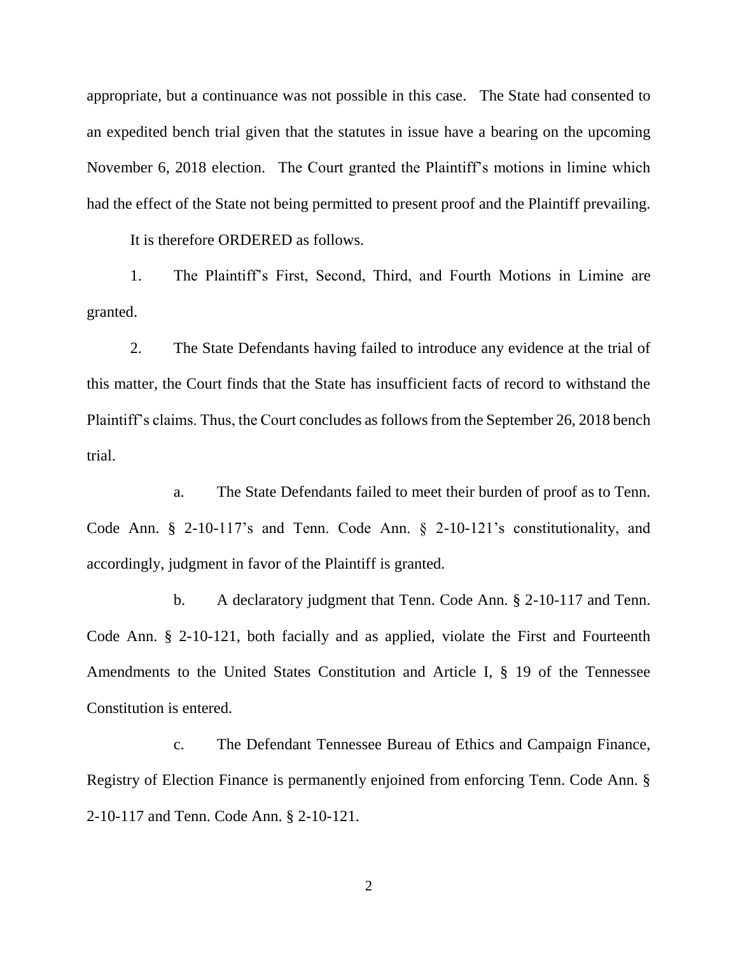appropriate, but a continuance was not possible in this case. The State had consented to an expedited bench trial given that the statutes in issue have a bearing on the upcoming November 6, 2018 election. The Court granted the Plaintiff's motions in limine which had the effect of the State not being permitted to present proof and the Plaintiff prevailing.

It is therefore ORDERED as follows.

1. The Plaintiff's First, Second, Third, and Fourth Motions in Limine are granted.

2. The State Defendants having failed to introduce any evidence at the trial of this matter, the Court finds that the State has insufficient facts of record to withstand the Plaintiff's claims. Thus, the Court concludes as follows from the September 26, 2018 bench trial.

a. The State Defendants failed to meet their burden of proof as to Tenn. Code Ann. § 2-10-117's and Tenn. Code Ann. § 2-10-121's constitutionality, and accordingly, judgment in favor of the Plaintiff is granted.

b. A declaratory judgment that Tenn. Code Ann. § 2-10-117 and Tenn. Code Ann. § 2-10-121, both facially and as applied, violate the First and Fourteenth Amendments to the United States Constitution and Article I, § 19 of the Tennessee Constitution is entered.

c. The Defendant Tennessee Bureau of Ethics and Campaign Finance, Registry of Election Finance is permanently enjoined from enforcing Tenn. Code Ann. § 2-10-117 and Tenn. Code Ann. § 2-10-121.

2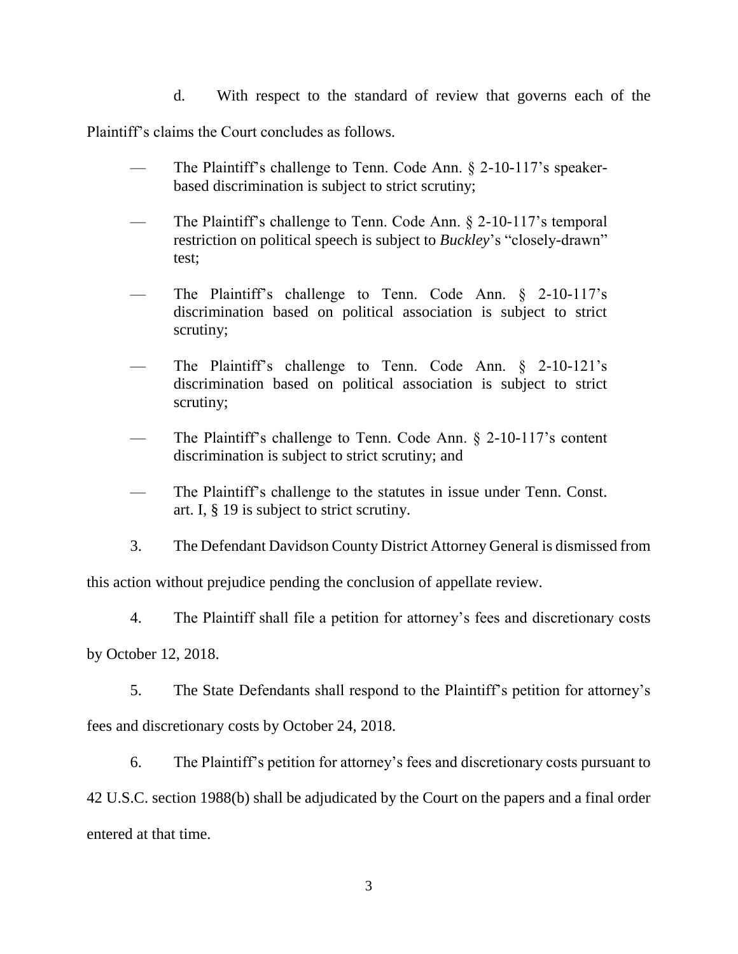d. With respect to the standard of review that governs each of the

Plaintiff's claims the Court concludes as follows.

- The Plaintiff's challenge to Tenn. Code Ann.  $\S$  2-10-117's speakerbased discrimination is subject to strict scrutiny;
- The Plaintiff's challenge to Tenn. Code Ann. § 2-10-117's temporal restriction on political speech is subject to *Buckley*'s "closely-drawn" test;
- The Plaintiff's challenge to Tenn. Code Ann.  $\S$  2-10-117's discrimination based on political association is subject to strict scrutiny;
- The Plaintiff's challenge to Tenn. Code Ann.  $\S$  2-10-121's discrimination based on political association is subject to strict scrutiny;
- The Plaintiff's challenge to Tenn. Code Ann. § 2-10-117's content discrimination is subject to strict scrutiny; and
- The Plaintiff's challenge to the statutes in issue under Tenn. Const. art. I, § 19 is subject to strict scrutiny.
- 3. The Defendant Davidson County District Attorney General is dismissed from

this action without prejudice pending the conclusion of appellate review.

4. The Plaintiff shall file a petition for attorney's fees and discretionary costs

by October 12, 2018.

5. The State Defendants shall respond to the Plaintiff's petition for attorney's fees and discretionary costs by October 24, 2018.

6. The Plaintiff's petition for attorney's fees and discretionary costs pursuant to 42 U.S.C. section 1988(b) shall be adjudicated by the Court on the papers and a final order entered at that time.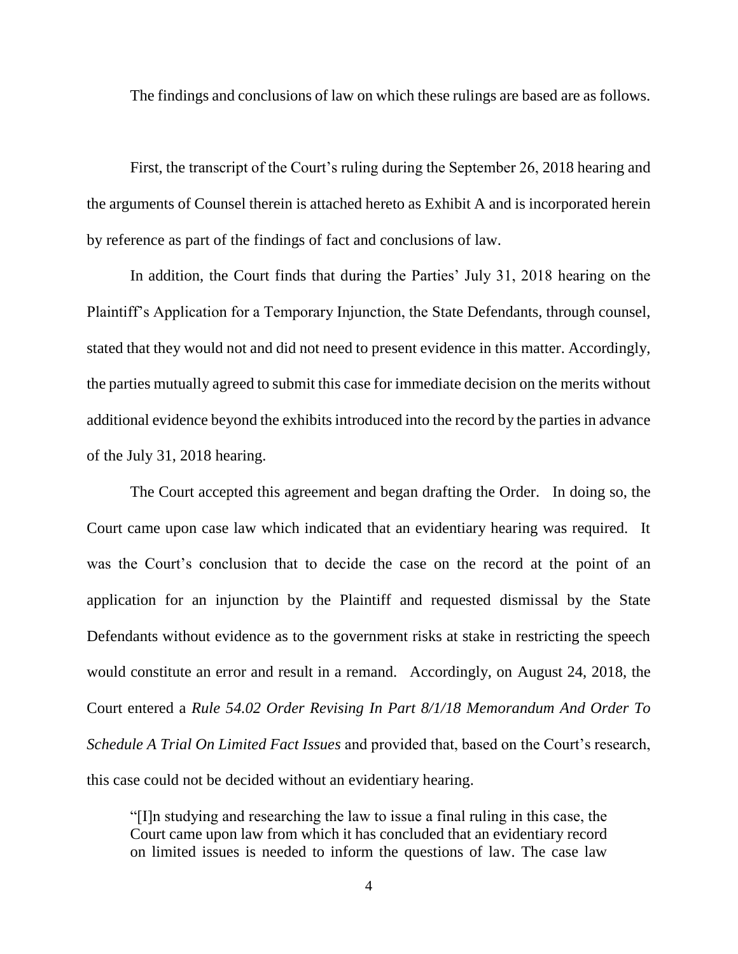The findings and conclusions of law on which these rulings are based are as follows.

First, the transcript of the Court's ruling during the September 26, 2018 hearing and the arguments of Counsel therein is attached hereto as Exhibit A and is incorporated herein by reference as part of the findings of fact and conclusions of law.

In addition, the Court finds that during the Parties' July 31, 2018 hearing on the Plaintiff's Application for a Temporary Injunction, the State Defendants, through counsel, stated that they would not and did not need to present evidence in this matter. Accordingly, the parties mutually agreed to submit this case for immediate decision on the merits without additional evidence beyond the exhibits introduced into the record by the parties in advance of the July 31, 2018 hearing.

The Court accepted this agreement and began drafting the Order. In doing so, the Court came upon case law which indicated that an evidentiary hearing was required. It was the Court's conclusion that to decide the case on the record at the point of an application for an injunction by the Plaintiff and requested dismissal by the State Defendants without evidence as to the government risks at stake in restricting the speech would constitute an error and result in a remand. Accordingly, on August 24, 2018, the Court entered a *Rule 54.02 Order Revising In Part 8/1/18 Memorandum And Order To Schedule A Trial On Limited Fact Issues* and provided that, based on the Court's research, this case could not be decided without an evidentiary hearing.

"[I]n studying and researching the law to issue a final ruling in this case, the Court came upon law from which it has concluded that an evidentiary record on limited issues is needed to inform the questions of law. The case law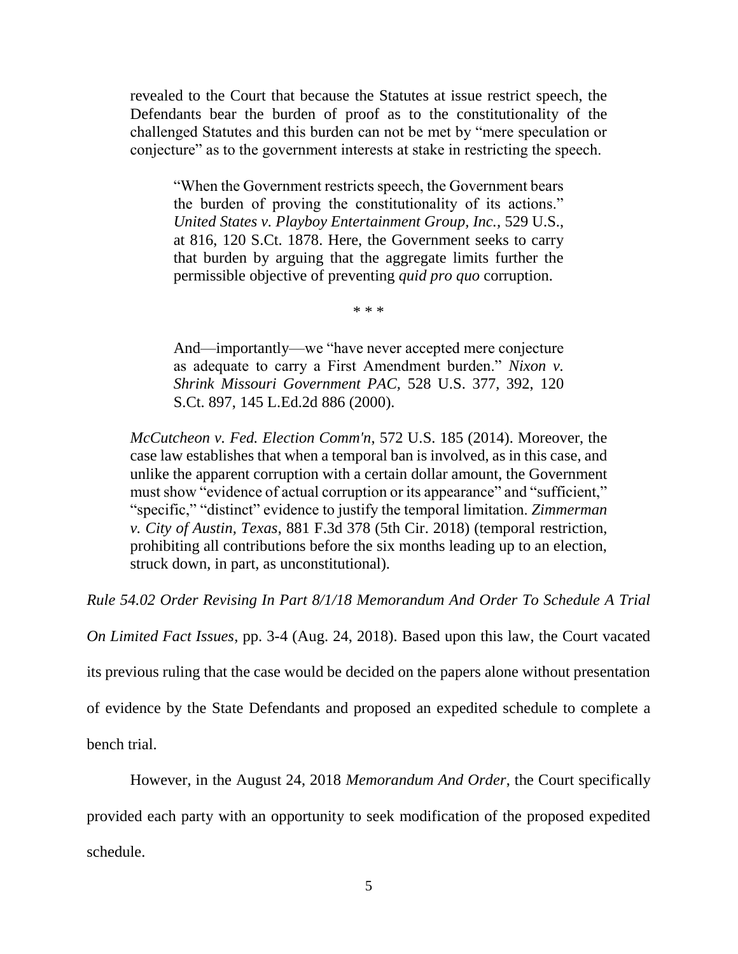revealed to the Court that because the Statutes at issue restrict speech, the Defendants bear the burden of proof as to the constitutionality of the challenged Statutes and this burden can not be met by "mere speculation or conjecture" as to the government interests at stake in restricting the speech.

"When the Government restricts speech, the Government bears the burden of proving the constitutionality of its actions." *United States v. Playboy Entertainment Group, Inc.,* 529 U.S., at 816, 120 S.Ct. 1878. Here, the Government seeks to carry that burden by arguing that the aggregate limits further the permissible objective of preventing *quid pro quo* corruption.

\* \* \*

And—importantly—we "have never accepted mere conjecture as adequate to carry a First Amendment burden." *Nixon v. Shrink Missouri Government PAC,* 528 U.S. 377, 392, 120 S.Ct. 897, 145 L.Ed.2d 886 (2000).

*McCutcheon v. Fed. Election Comm'n*, 572 U.S. 185 (2014). Moreover, the case law establishes that when a temporal ban is involved, as in this case, and unlike the apparent corruption with a certain dollar amount, the Government must show "evidence of actual corruption or its appearance" and "sufficient," "specific," "distinct" evidence to justify the temporal limitation. *Zimmerman v. City of Austin, Texas*, 881 F.3d 378 (5th Cir. 2018) (temporal restriction, prohibiting all contributions before the six months leading up to an election, struck down, in part, as unconstitutional).

*Rule 54.02 Order Revising In Part 8/1/18 Memorandum And Order To Schedule A Trial* 

*On Limited Fact Issues*, pp. 3-4 (Aug. 24, 2018). Based upon this law, the Court vacated

its previous ruling that the case would be decided on the papers alone without presentation

of evidence by the State Defendants and proposed an expedited schedule to complete a

bench trial.

However, in the August 24, 2018 *Memorandum And Order*, the Court specifically provided each party with an opportunity to seek modification of the proposed expedited schedule.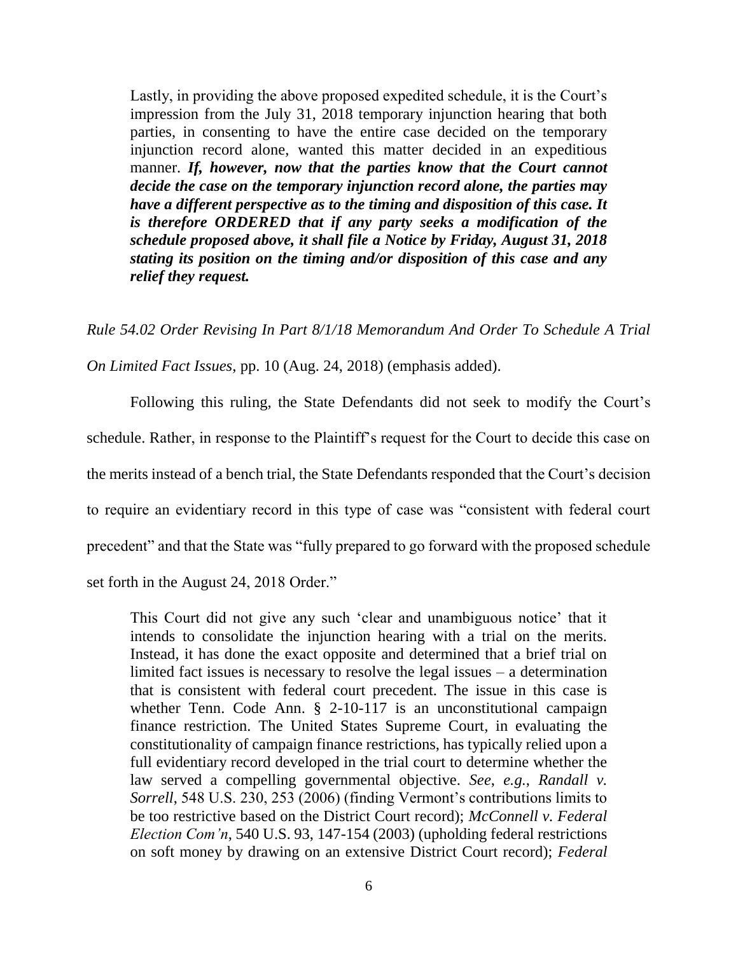Lastly, in providing the above proposed expedited schedule, it is the Court's impression from the July 31, 2018 temporary injunction hearing that both parties, in consenting to have the entire case decided on the temporary injunction record alone, wanted this matter decided in an expeditious manner. If, however, now that the parties know that the Court cannot *decide the case on the temporary injunction record alone, the parties may have a different perspective as to the timing and disposition of this case. It is therefore ORDERED that if any party seeks a modification of the schedule proposed above, it shall file a Notice by Friday, August 31, 2018 stating its position on the timing and/or disposition of this case and any relief they request.*

*Rule 54.02 Order Revising In Part 8/1/18 Memorandum And Order To Schedule A Trial* 

*On Limited Fact Issues*, pp. 10 (Aug. 24, 2018) (emphasis added).

Following this ruling, the State Defendants did not seek to modify the Court's schedule. Rather, in response to the Plaintiff's request for the Court to decide this case on the merits instead of a bench trial, the State Defendants responded that the Court's decision to require an evidentiary record in this type of case was "consistent with federal court precedent" and that the State was "fully prepared to go forward with the proposed schedule set forth in the August 24, 2018 Order."

This Court did not give any such 'clear and unambiguous notice' that it intends to consolidate the injunction hearing with a trial on the merits. Instead, it has done the exact opposite and determined that a brief trial on limited fact issues is necessary to resolve the legal issues – a determination that is consistent with federal court precedent. The issue in this case is whether Tenn. Code Ann. § 2-10-117 is an unconstitutional campaign finance restriction. The United States Supreme Court, in evaluating the constitutionality of campaign finance restrictions, has typically relied upon a full evidentiary record developed in the trial court to determine whether the law served a compelling governmental objective. *See*, *e.g.*, *Randall v. Sorrell*, 548 U.S. 230, 253 (2006) (finding Vermont's contributions limits to be too restrictive based on the District Court record); *McConnell v. Federal Election Com'n*, 540 U.S. 93, 147-154 (2003) (upholding federal restrictions on soft money by drawing on an extensive District Court record); *Federal*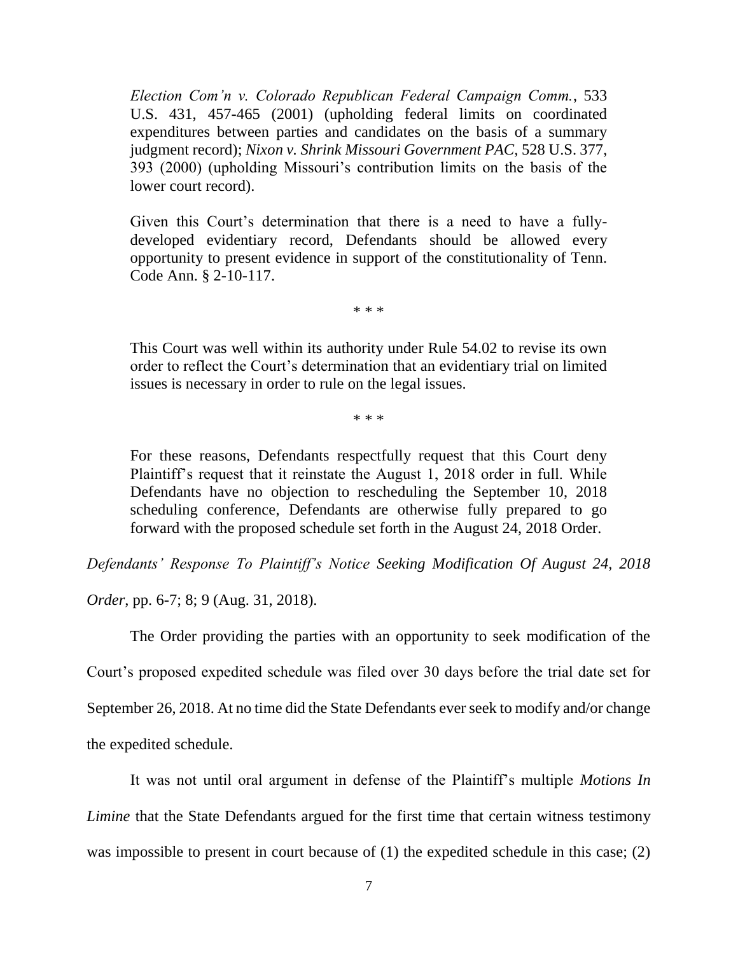*Election Com'n v. Colorado Republican Federal Campaign Comm.*, 533 U.S. 431, 457-465 (2001) (upholding federal limits on coordinated expenditures between parties and candidates on the basis of a summary judgment record); *Nixon v. Shrink Missouri Government PAC,* 528 U.S. 377, 393 (2000) (upholding Missouri's contribution limits on the basis of the lower court record).

Given this Court's determination that there is a need to have a fullydeveloped evidentiary record, Defendants should be allowed every opportunity to present evidence in support of the constitutionality of Tenn. Code Ann. § 2-10-117.

\* \* \*

This Court was well within its authority under Rule 54.02 to revise its own order to reflect the Court's determination that an evidentiary trial on limited issues is necessary in order to rule on the legal issues.

\* \* \*

For these reasons, Defendants respectfully request that this Court deny Plaintiff's request that it reinstate the August 1, 2018 order in full. While Defendants have no objection to rescheduling the September 10, 2018 scheduling conference, Defendants are otherwise fully prepared to go forward with the proposed schedule set forth in the August 24, 2018 Order.

*Defendants' Response To Plaintiff's Notice Seeking Modification Of August 24, 2018* 

*Order*, pp. 6-7; 8; 9 (Aug. 31, 2018).

The Order providing the parties with an opportunity to seek modification of the Court's proposed expedited schedule was filed over 30 days before the trial date set for September 26, 2018. At no time did the State Defendants ever seek to modify and/or change the expedited schedule.

It was not until oral argument in defense of the Plaintiff's multiple *Motions In Limine* that the State Defendants argued for the first time that certain witness testimony was impossible to present in court because of (1) the expedited schedule in this case; (2)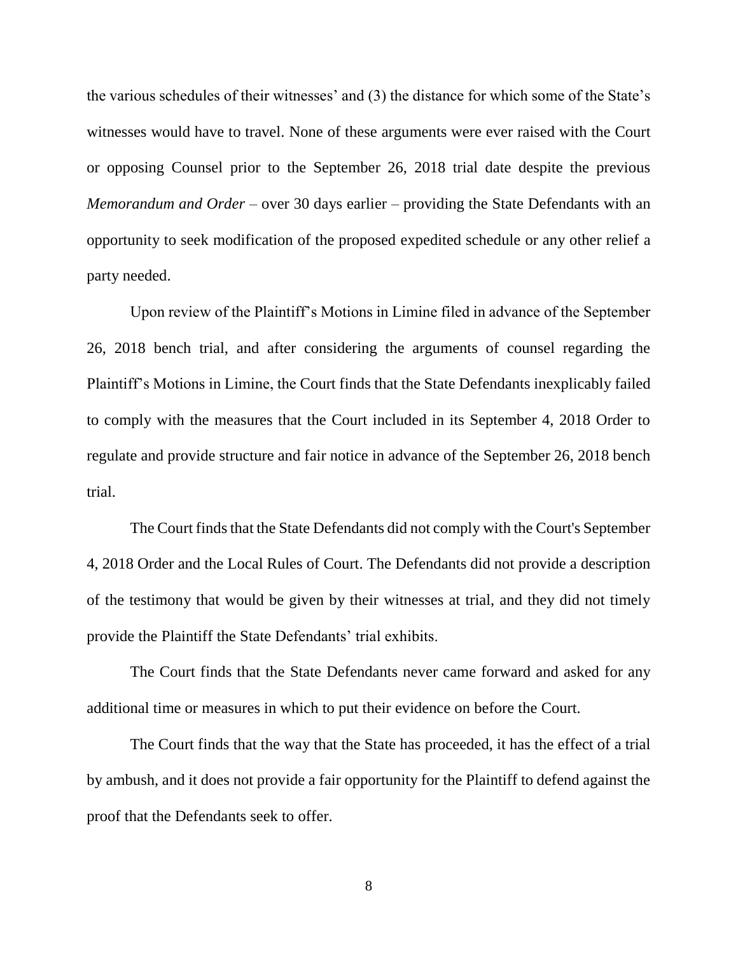the various schedules of their witnesses' and (3) the distance for which some of the State's witnesses would have to travel. None of these arguments were ever raised with the Court or opposing Counsel prior to the September 26, 2018 trial date despite the previous *Memorandum and Order* – over 30 days earlier – providing the State Defendants with an opportunity to seek modification of the proposed expedited schedule or any other relief a party needed.

Upon review of the Plaintiff's Motions in Limine filed in advance of the September 26, 2018 bench trial, and after considering the arguments of counsel regarding the Plaintiff's Motions in Limine, the Court finds that the State Defendants inexplicably failed to comply with the measures that the Court included in its September 4, 2018 Order to regulate and provide structure and fair notice in advance of the September 26, 2018 bench trial.

The Court finds that the State Defendants did not comply with the Court's September 4, 2018 Order and the Local Rules of Court. The Defendants did not provide a description of the testimony that would be given by their witnesses at trial, and they did not timely provide the Plaintiff the State Defendants' trial exhibits.

The Court finds that the State Defendants never came forward and asked for any additional time or measures in which to put their evidence on before the Court.

The Court finds that the way that the State has proceeded, it has the effect of a trial by ambush, and it does not provide a fair opportunity for the Plaintiff to defend against the proof that the Defendants seek to offer.

8